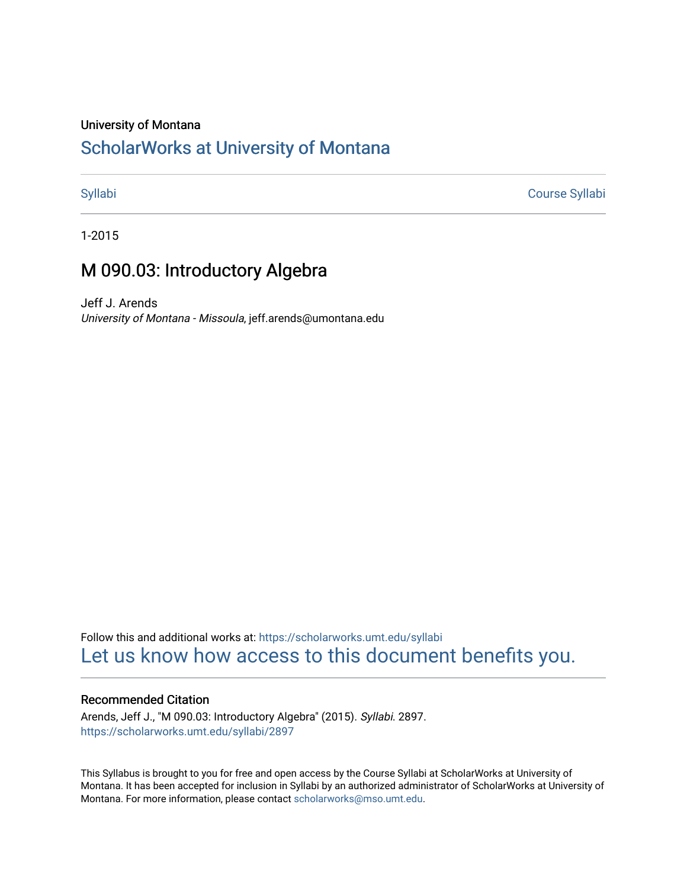## University of Montana

# [ScholarWorks at University of Montana](https://scholarworks.umt.edu/)

[Syllabi](https://scholarworks.umt.edu/syllabi) [Course Syllabi](https://scholarworks.umt.edu/course_syllabi) 

1-2015

# M 090.03: Introductory Algebra

Jeff J. Arends University of Montana - Missoula, jeff.arends@umontana.edu

Follow this and additional works at: [https://scholarworks.umt.edu/syllabi](https://scholarworks.umt.edu/syllabi?utm_source=scholarworks.umt.edu%2Fsyllabi%2F2897&utm_medium=PDF&utm_campaign=PDFCoverPages)  [Let us know how access to this document benefits you.](https://goo.gl/forms/s2rGfXOLzz71qgsB2) 

## Recommended Citation

Arends, Jeff J., "M 090.03: Introductory Algebra" (2015). Syllabi. 2897. [https://scholarworks.umt.edu/syllabi/2897](https://scholarworks.umt.edu/syllabi/2897?utm_source=scholarworks.umt.edu%2Fsyllabi%2F2897&utm_medium=PDF&utm_campaign=PDFCoverPages)

This Syllabus is brought to you for free and open access by the Course Syllabi at ScholarWorks at University of Montana. It has been accepted for inclusion in Syllabi by an authorized administrator of ScholarWorks at University of Montana. For more information, please contact [scholarworks@mso.umt.edu.](mailto:scholarworks@mso.umt.edu)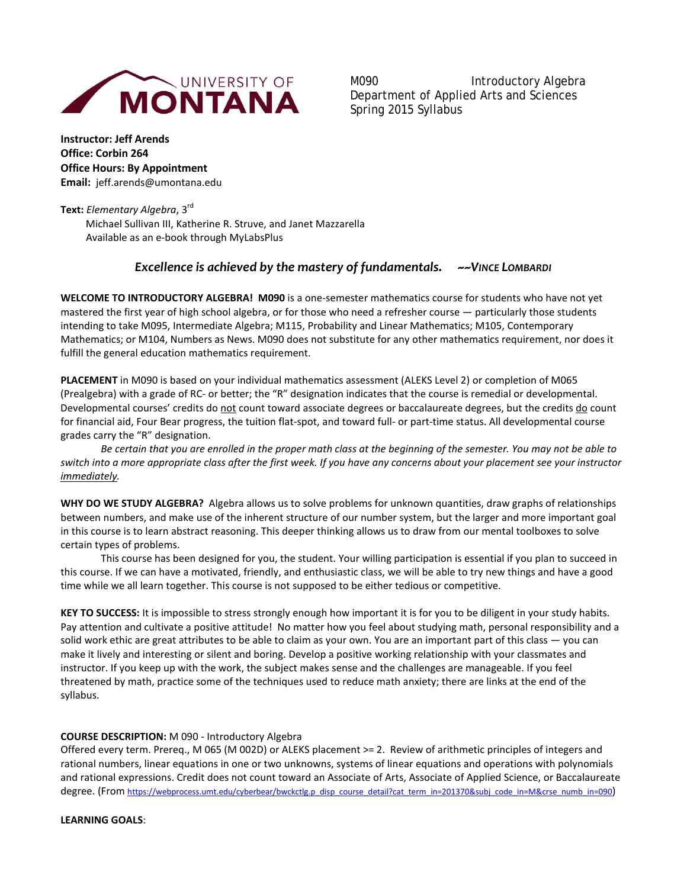

M090 Introductory Algebra Department of Applied Arts and Sciences Spring 2015 Syllabus

**Instructor: Jeff Arends Office: Corbin 264 Office Hours: By Appointment Email:** jeff.arends@umontana.edu

**Text:** *Elementary Algebra*, 3rd Michael Sullivan III, Katherine R. Struve, and Janet Mazzarella Available as an e-book through MyLabsPlus

# *Excellence is achieved by the mastery of fundamentals. ~~VINCE LOMBARDI*

**WELCOME TO INTRODUCTORY ALGEBRA! M090** is a one-semester mathematics course for students who have not yet mastered the first year of high school algebra, or for those who need a refresher course — particularly those students intending to take M095, Intermediate Algebra; M115, Probability and Linear Mathematics; M105, Contemporary Mathematics; or M104, Numbers as News. M090 does not substitute for any other mathematics requirement, nor does it fulfill the general education mathematics requirement.

**PLACEMENT** in M090 is based on your individual mathematics assessment (ALEKS Level 2) or completion of M065 (Prealgebra) with a grade of RC- or better; the "R" designation indicates that the course is remedial or developmental. Developmental courses' credits do not count toward associate degrees or baccalaureate degrees, but the credits do count for financial aid, Four Bear progress, the tuition flat-spot, and toward full- or part-time status. All developmental course grades carry the "R" designation.

*Be certain that you are enrolled in the proper math class at the beginning of the semester. You may not be able to switch into a more appropriate class after the first week. If you have any concerns about your placement see your instructor immediately.* 

**WHY DO WE STUDY ALGEBRA?** Algebra allows us to solve problems for unknown quantities, draw graphs of relationships between numbers, and make use of the inherent structure of our number system, but the larger and more important goal in this course is to learn abstract reasoning. This deeper thinking allows us to draw from our mental toolboxes to solve certain types of problems.

This course has been designed for you, the student. Your willing participation is essential if you plan to succeed in this course. If we can have a motivated, friendly, and enthusiastic class, we will be able to try new things and have a good time while we all learn together. This course is not supposed to be either tedious or competitive.

**KEY TO SUCCESS:** It is impossible to stress strongly enough how important it is for you to be diligent in your study habits. Pay attention and cultivate a positive attitude! No matter how you feel about studying math, personal responsibility and a solid work ethic are great attributes to be able to claim as your own. You are an important part of this class — you can make it lively and interesting or silent and boring. Develop a positive working relationship with your classmates and instructor. If you keep up with the work, the subject makes sense and the challenges are manageable. If you feel threatened by math, practice some of the techniques used to reduce math anxiety; there are links at the end of the syllabus.

### **COURSE DESCRIPTION:** M 090 - Introductory Algebra

Offered every term. Prereq., M 065 (M 002D) or ALEKS placement >= 2. Review of arithmetic principles of integers and rational numbers, linear equations in one or two unknowns, systems of linear equations and operations with polynomials and rational expressions. Credit does not count toward an Associate of Arts, Associate of Applied Science, or Baccalaureate degree. (From [https://webprocess.umt.edu/cyberbear/bwckctlg.p\\_disp\\_course\\_detail?cat\\_term\\_in=201370&subj\\_code\\_in=M&crse\\_numb\\_in=090\)](https://webprocess.umt.edu/cyberbear/bwckctlg.p_disp_course_detail?cat_term_in=201370&subj_code_in=M&crse_numb_in=090)

**LEARNING GOALS**: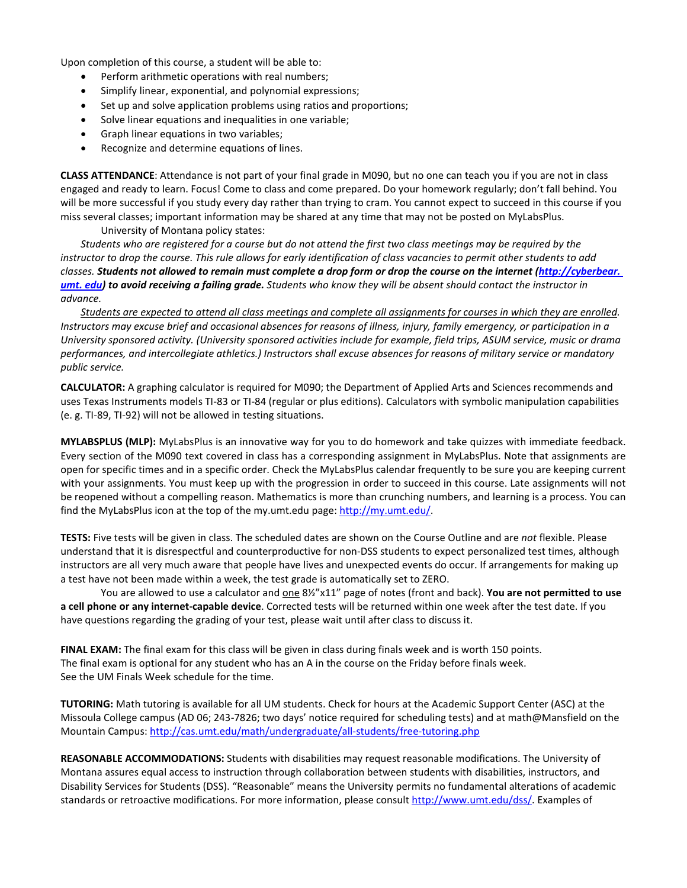Upon completion of this course, a student will be able to:

- Perform arithmetic operations with real numbers;
- Simplify linear, exponential, and polynomial expressions;
- Set up and solve application problems using ratios and proportions;
- Solve linear equations and inequalities in one variable;
- Graph linear equations in two variables;
- Recognize and determine equations of lines.

**CLASS ATTENDANCE**: Attendance is not part of your final grade in M090, but no one can teach you if you are not in class engaged and ready to learn. Focus! Come to class and come prepared. Do your homework regularly; don't fall behind. You will be more successful if you study every day rather than trying to cram. You cannot expect to succeed in this course if you miss several classes; important information may be shared at any time that may not be posted on MyLabsPlus.

University of Montana policy states:

*Students who are registered for a course but do not attend the first two class meetings may be required by the instructor to drop the course. This rule allows for early identification of class vacancies to permit other students to add classes. Students not allowed to remain must complete a drop form or drop the course on the internet (http://cyberbear. [umt. edu\)](http://cyberbear.umt.edu/) to avoid receiving a failing grade. Students who know they will be absent should contact the instructor in advance.* 

*Students are expected to attend all class meetings and complete all assignments for courses in which they are enrolled. Instructors may excuse brief and occasional absences for reasons of illness, injury, family emergency, or participation in a University sponsored activity. (University sponsored activities include for example, field trips, ASUM service, music or drama performances, and intercollegiate athletics.) Instructors shall excuse absences for reasons of military service or mandatory public service.* 

**CALCULATOR:** A graphing calculator is required for M090; the Department of Applied Arts and Sciences recommends and uses Texas Instruments models TI-83 or TI-84 (regular or plus editions). Calculators with symbolic manipulation capabilities (e. g. TI-89, TI-92) will not be allowed in testing situations.

**MYLABSPLUS (MLP):** MyLabsPlus is an innovative way for you to do homework and take quizzes with immediate feedback. Every section of the M090 text covered in class has a corresponding assignment in MyLabsPlus. Note that assignments are open for specific times and in a specific order. Check the MyLabsPlus calendar frequently to be sure you are keeping current with your assignments. You must keep up with the progression in order to succeed in this course. Late assignments will not be reopened without a compelling reason. Mathematics is more than crunching numbers, and learning is a process. You can find the MyLabsPlus icon at the top of the my.umt.edu page: [http://my.umt.edu/.](http://my.umt.edu/)

**TESTS:** Five tests will be given in class. The scheduled dates are shown on the Course Outline and are *not* flexible. Please understand that it is disrespectful and counterproductive for non-DSS students to expect personalized test times, although instructors are all very much aware that people have lives and unexpected events do occur. If arrangements for making up a test have not been made within a week, the test grade is automatically set to ZERO.

You are allowed to use a calculator and <u>one</u> 8½"x11" page of notes (front and back). You are not permitted to use **a cell phone or any internet-capable device**. Corrected tests will be returned within one week after the test date. If you have questions regarding the grading of your test, please wait until after class to discuss it.

**FINAL EXAM:** The final exam for this class will be given in class during finals week and is worth 150 points. The final exam is optional for any student who has an A in the course on the Friday before finals week. See the UM Finals Week schedule for the time.

**TUTORING:** Math tutoring is available for all UM students. Check for hours at the Academic Support Center (ASC) at the Missoula College campus (AD 06; 243-7826; two days' notice required for scheduling tests) and at math@Mansfield on the Mountain Campus[: http://cas.umt.edu/math/undergraduate/all-students/free-tutoring.php](http://cas.umt.edu/math/undergraduate/all-students/free-tutoring.php)

**REASONABLE ACCOMMODATIONS:** Students with disabilities may request reasonable modifications. The University of Montana assures equal access to instruction through collaboration between students with disabilities, instructors, and Disability Services for Students (DSS). "Reasonable" means the University permits no fundamental alterations of academic standards or retroactive modifications. For more information, please consult [http://www.umt.edu/dss/.](http://www.umt.edu/dss/) Examples of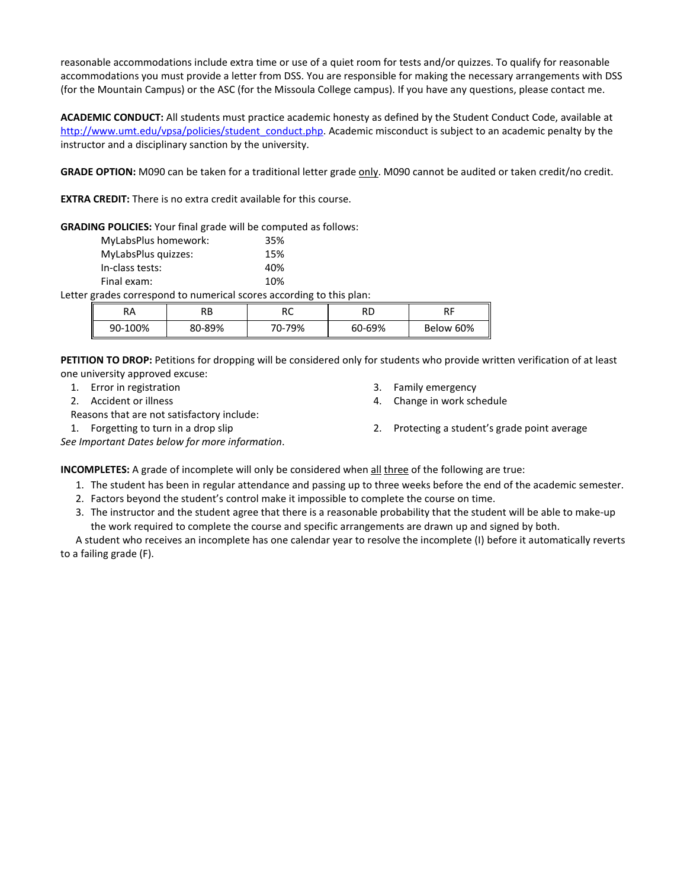reasonable accommodations include extra time or use of a quiet room for tests and/or quizzes. To qualify for reasonable accommodations you must provide a letter from DSS. You are responsible for making the necessary arrangements with DSS (for the Mountain Campus) or the ASC (for the Missoula College campus). If you have any questions, please contact me.

**ACADEMIC CONDUCT:** All students must practice academic honesty as defined by the Student Conduct Code, available at [http://www.umt.edu/vpsa/policies/student\\_conduct.php.](http://www.umt.edu/vpsa/policies/student_conduct.php) Academic misconduct is subject to an academic penalty by the instructor and a disciplinary sanction by the university.

GRADE OPTION: M090 can be taken for a traditional letter grade only. M090 cannot be audited or taken credit/no credit.

**EXTRA CREDIT:** There is no extra credit available for this course.

**GRADING POLICIES:** Your final grade will be computed as follows:

| 35% |
|-----|
| 15% |
| 40% |
| 10% |
|     |

Letter grades correspond to numerical scores according to this plan:

| RA      | ם מ<br>۸Þ. | $\sim$ | RD     | ים              |
|---------|------------|--------|--------|-----------------|
| 90-100% | 80-89%     | 70-79% | 60-69% | II<br>Below 60% |

**PETITION TO DROP:** Petitions for dropping will be considered only for students who provide written verification of at least one university approved excuse:

- 1. Error in registration
- 2. Accident or illness

Reasons that are not satisfactory include:

- 3. Family emergency
- 4. Change in work schedule
- 1. Forgetting to turn in a drop slip 2. Protecting a student's grade point average

*See Important Dates below for more information*.

**INCOMPLETES:** A grade of incomplete will only be considered when all three of the following are true:

- 1. The student has been in regular attendance and passing up to three weeks before the end of the academic semester.
- 2. Factors beyond the student's control make it impossible to complete the course on time.
- 3. The instructor and the student agree that there is a reasonable probability that the student will be able to make-up the work required to complete the course and specific arrangements are drawn up and signed by both.

A student who receives an incomplete has one calendar year to resolve the incomplete (I) before it automatically reverts to a failing grade (F).